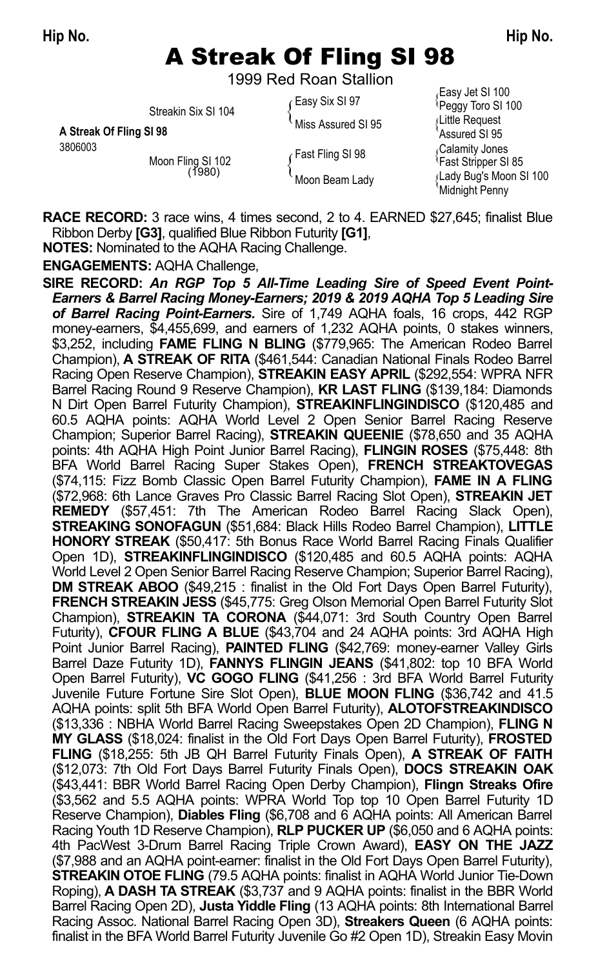# A Streak Of Fling SI 98

1999 Red Roan Stallion

|                         | Streakin Six SI 104         | ∕ Easy Six SI 97   | Lasy Jet JI TUU<br>Peggy Toro SI 100                    |
|-------------------------|-----------------------------|--------------------|---------------------------------------------------------|
| A Streak Of Fling SI 98 |                             | Miss Assured SI 95 | Little Request                                          |
| 3806003                 | Moon Fling SI 102<br>(1980) | Fast Fling SI 98   | Assured SI 95<br>Galamity Jones<br>'Fast Stripper SI 85 |
|                         |                             | Moon Beam Lady     | ∫Lady Bug's Moon S<br>Midnight Penny                    |

Easy Jet SI 100 **Assured SI 95**<br>Galamity Jones <sub>{</sub>Lady Bug's Moon SI 100<br><sup>\</sup>Midnight Penny

**RACE RECORD:** 3 race wins, 4 times second, 2 to 4. EARNED \$27,645; finalist Blue Ribbon Derby **[G3]**, qualified Blue Ribbon Futurity **[G1]**,

**NOTES:** Nominated to the AQHA Racing Challenge.

**ENGAGEMENTS:** AQHA Challenge,

finalist in the BFA World Barrel Futurity Juvenile Go #2 Open 1D), Streakin Easy Movin **SIRE RECORD:** *An RGP Top 5 All-Time Leading Sire of Speed Event Point-Earners & Barrel Racing Money-Earners; 2019 & 2019 AQHA Top 5 Leading Sire of Barrel Racing Point-Earners.* Sire of 1,749 AQHA foals, 16 crops, 442 RGP money-earners, \$4,455,699, and earners of 1,232 AQHA points, 0 stakes winners, \$3,252, including **FAME FLING N BLING** (\$779,965: The American Rodeo Barrel Champion), **A STREAK OF RITA** (\$461,544: Canadian National Finals Rodeo Barrel Racing Open Reserve Champion), **STREAKIN EASY APRIL** (\$292,554: WPRA NFR Barrel Racing Round 9 Reserve Champion), **KR LAST FLING** (\$139,184: Diamonds N Dirt Open Barrel Futurity Champion), **STREAKINFLINGINDISCO** (\$120,485 and 60.5 AQHA points: AQHA World Level 2 Open Senior Barrel Racing Reserve Champion; Superior Barrel Racing), **STREAKIN QUEENIE** (\$78,650 and 35 AQHA points: 4th AQHA High Point Junior Barrel Racing), **FLINGIN ROSES** (\$75,448: 8th BFA World Barrel Racing Super Stakes Open), **FRENCH STREAKTOVEGAS** (\$74,115: Fizz Bomb Classic Open Barrel Futurity Champion), **FAME IN A FLING** (\$72,968: 6th Lance Graves Pro Classic Barrel Racing Slot Open), **STREAKIN JET REMEDY** (\$57,451: 7th The American Rodeo Barrel Racing Slack Open), **STREAKING SONOFAGUN** (\$51,684: Black Hills Rodeo Barrel Champion), **LITTLE HONORY STREAK** (\$50,417: 5th Bonus Race World Barrel Racing Finals Qualifier Open 1D), **STREAKINFLINGINDISCO** (\$120,485 and 60.5 AQHA points: AQHA World Level 2 Open Senior Barrel Racing Reserve Champion; Superior Barrel Racing), **DM STREAK ABOO** (\$49,215 : finalist in the Old Fort Days Open Barrel Futurity), **FRENCH STREAKIN JESS** (\$45,775: Greg Olson Memorial Open Barrel Futurity Slot Champion), **STREAKIN TA CORONA** (\$44,071: 3rd South Country Open Barrel Futurity), **CFOUR FLING A BLUE** (\$43,704 and 24 AQHA points: 3rd AQHA High Point Junior Barrel Racing), **PAINTED FLING** (\$42,769: money-earner Valley Girls Barrel Daze Futurity 1D), **FANNYS FLINGIN JEANS** (\$41,802: top 10 BFA World Open Barrel Futurity), **VC GOGO FLING** (\$41,256 : 3rd BFA World Barrel Futurity Juvenile Future Fortune Sire Slot Open), **BLUE MOON FLING** (\$36,742 and 41.5 AQHA points: split 5th BFA World Open Barrel Futurity), **ALOTOFSTREAKINDISCO** (\$13,336 : NBHA World Barrel Racing Sweepstakes Open 2D Champion), **FLING N MY GLASS** (\$18,024: finalist in the Old Fort Days Open Barrel Futurity), **FROSTED FLING** (\$18,255: 5th JB QH Barrel Futurity Finals Open), **A STREAK OF FAITH** (\$12,073: 7th Old Fort Days Barrel Futurity Finals Open), **DOCS STREAKIN OAK** (\$43,441: BBR World Barrel Racing Open Derby Champion), **Flingn Streaks Ofire** (\$3,562 and 5.5 AQHA points: WPRA World Top top 10 Open Barrel Futurity 1D Reserve Champion), **Diables Fling** (\$6,708 and 6 AQHA points: All American Barrel Racing Youth 1D Reserve Champion), **RLP PUCKER UP** (\$6,050 and 6 AQHA points: 4th PacWest 3-Drum Barrel Racing Triple Crown Award), **EASY ON THE JAZZ** (\$7,988 and an AQHA point-earner: finalist in the Old Fort Days Open Barrel Futurity), **STREAKIN OTOE FLING** (79.5 AQHA points: finalist in AQHA World Junior Tie-Down Roping), **A DASH TA STREAK** (\$3,737 and 9 AQHA points: finalist in the BBR World Barrel Racing Open 2D), **Justa Yiddle Fling** (13 AQHA points: 8th International Barrel Racing Assoc. National Barrel Racing Open 3D), **Streakers Queen** (6 AQHA points: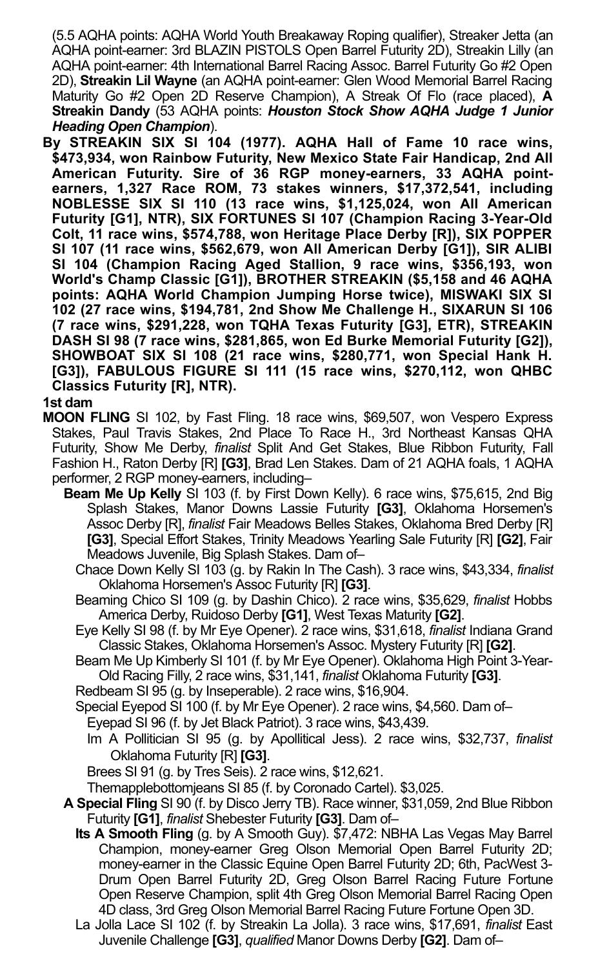(5.5 AQHA points: AQHA World Youth Breakaway Roping qualifier), Streaker Jetta (an AQHA point-earner: 3rd BLAZIN PISTOLS Open Barrel Futurity 2D), Streakin Lilly (an AQHA point-earner: 4th International Barrel Racing Assoc. Barrel Futurity Go #2 Open 2D), **Streakin Lil Wayne** (an AQHA point-earner: Glen Wood Memorial Barrel Racing Maturity Go #2 Open 2D Reserve Champion), A Streak Of Flo (race placed), **A Streakin Dandy** (53 AQHA points: *Houston Stock Show AQHA Judge 1 Junior Heading Open Champion*).

**By STREAKIN SIX SI 104 (1977). AQHA Hall of Fame 10 race wins, \$473,934, won Rainbow Futurity, New Mexico State Fair Handicap, 2nd All American Futurity. Sire of 36 RGP money-earners, 33 AQHA pointearners, 1,327 Race ROM, 73 stakes winners, \$17,372,541, including NOBLESSE SIX SI 110 (13 race wins, \$1,125,024, won All American Futurity [G1], NTR), SIX FORTUNES SI 107 (Champion Racing 3-Year-Old Colt, 11 race wins, \$574,788, won Heritage Place Derby [R]), SIX POPPER SI 107 (11 race wins, \$562,679, won All American Derby [G1]), SIR ALIBI SI 104 (Champion Racing Aged Stallion, 9 race wins, \$356,193, won World's Champ Classic [G1]), BROTHER STREAKIN (\$5,158 and 46 AQHA points: AQHA World Champion Jumping Horse twice), MISWAKI SIX SI 102 (27 race wins, \$194,781, 2nd Show Me Challenge H., SIXARUN SI 106 (7 race wins, \$291,228, won TQHA Texas Futurity [G3], ETR), STREAKIN DASH SI 98 (7 race wins, \$281,865, won Ed Burke Memorial Futurity [G2]), SHOWBOAT SIX SI 108 (21 race wins, \$280,771, won Special Hank H. [G3]), FABULOUS FIGURE SI 111 (15 race wins, \$270,112, won QHBC Classics Futurity [R], NTR).**

#### **1st dam**

- **MOON FLING** SI 102, by Fast Fling. 18 race wins, \$69,507, won Vespero Express Stakes, Paul Travis Stakes, 2nd Place To Race H., 3rd Northeast Kansas QHA Futurity, Show Me Derby, *finalist* Split And Get Stakes, Blue Ribbon Futurity, Fall Fashion H., Raton Derby [R] **[G3]**, Brad Len Stakes. Dam of 21 AQHA foals, 1 AQHA performer, 2 RGP money-earners, including–
	- **Beam Me Up Kelly** SI 103 (f. by First Down Kelly). 6 race wins, \$75,615, 2nd Big Splash Stakes, Manor Downs Lassie Futurity **[G3]**, Oklahoma Horsemen's Assoc Derby [R], *finalist* Fair Meadows Belles Stakes, Oklahoma Bred Derby [R] **[G3]**, Special Effort Stakes, Trinity Meadows Yearling Sale Futurity [R] **[G2]**, Fair Meadows Juvenile, Big Splash Stakes. Dam of–
		- Chace Down Kelly SI 103 (g. by Rakin In The Cash). 3 race wins, \$43,334, *finalist* Oklahoma Horsemen's Assoc Futurity [R] **[G3]**.
		- Beaming Chico SI 109 (g. by Dashin Chico). 2 race wins, \$35,629, *finalist* Hobbs America Derby, Ruidoso Derby **[G1]**, West Texas Maturity **[G2]**.
		- Eye Kelly SI 98 (f. by Mr Eye Opener). 2 race wins, \$31,618, *finalist* Indiana Grand Classic Stakes, Oklahoma Horsemen's Assoc. Mystery Futurity [R] **[G2]**.
		- Beam Me Up Kimberly SI 101 (f. by Mr Eye Opener). Oklahoma High Point 3-Year-Old Racing Filly, 2 race wins, \$31,141, *finalist* Oklahoma Futurity **[G3]**.
		- Redbeam SI 95 (g. by Inseperable). 2 race wins, \$16,904.
		- Special Eyepod SI 100 (f. by Mr Eye Opener). 2 race wins, \$4,560. Dam of–
			- Eyepad SI 96 (f. by Jet Black Patriot). 3 race wins, \$43,439.
			- Im A Pollitician SI 95 (g. by Apollitical Jess). 2 race wins, \$32,737, *finalist* Oklahoma Futurity [R] **[G3]**.
			- Brees SI 91 (g. by Tres Seis). 2 race wins, \$12,621.
		- Themapplebottomjeans SI 85 (f. by Coronado Cartel). \$3,025.
	- **A Special Fling** SI 90 (f. by Disco Jerry TB). Race winner, \$31,059, 2nd Blue Ribbon Futurity **[G1]**, *finalist* Shebester Futurity **[G3]**. Dam of–
		- **Its A Smooth Fling** (g. by A Smooth Guy). \$7,472: NBHA Las Vegas May Barrel Champion, money-earner Greg Olson Memorial Open Barrel Futurity 2D; money-earner in the Classic Equine Open Barrel Futurity 2D; 6th, PacWest 3- Drum Open Barrel Futurity 2D, Greg Olson Barrel Racing Future Fortune Open Reserve Champion, split 4th Greg Olson Memorial Barrel Racing Open 4D class, 3rd Greg Olson Memorial Barrel Racing Future Fortune Open 3D.
		- La Jolla Lace SI 102 (f. by Streakin La Jolla). 3 race wins, \$17,691, *finalist* East Juvenile Challenge **[G3]**, *qualified* Manor Downs Derby **[G2]**. Dam of–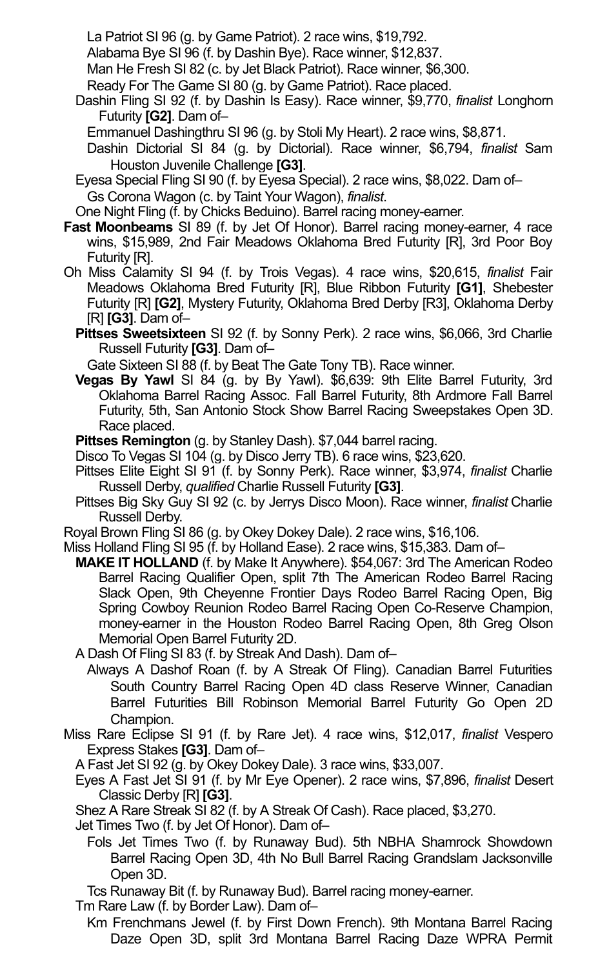- La Patriot SI 96 (g. by Game Patriot). 2 race wins, \$19,792.
- Alabama Bye SI 96 (f. by Dashin Bye). Race winner, \$12,837.

Man He Fresh SI 82 (c. by Jet Black Patriot). Race winner, \$6,300.

- Ready For The Game SI 80 (g. by Game Patriot). Race placed.
- Dashin Fling SI 92 (f. by Dashin Is Easy). Race winner, \$9,770, *finalist* Longhorn Futurity **[G2]**. Dam of–
	- Emmanuel Dashingthru SI 96 (g. by Stoli My Heart). 2 race wins, \$8,871.
	- Dashin Dictorial SI 84 (g. by Dictorial). Race winner, \$6,794, *finalist* Sam Houston Juvenile Challenge **[G3]**.
- Eyesa Special Fling SI 90 (f. by Eyesa Special). 2 race wins, \$8,022. Dam of– Gs Corona Wagon (c. by Taint Your Wagon), *finalist*.

One Night Fling (f. by Chicks Beduino). Barrel racing money-earner.

- **Fast Moonbeams** SI 89 (f. by Jet Of Honor). Barrel racing money-earner, 4 race wins, \$15,989, 2nd Fair Meadows Oklahoma Bred Futurity [R], 3rd Poor Boy Futurity [R].
- Oh Miss Calamity SI 94 (f. by Trois Vegas). 4 race wins, \$20,615, *finalist* Fair Meadows Oklahoma Bred Futurity [R], Blue Ribbon Futurity **[G1]**, Shebester Futurity [R] **[G2]**, Mystery Futurity, Oklahoma Bred Derby [R3], Oklahoma Derby [R] **[G3]**. Dam of–
	- **Pittses Sweetsixteen** SI 92 (f. by Sonny Perk). 2 race wins, \$6,066, 3rd Charlie Russell Futurity **[G3]**. Dam of–

Gate Sixteen SI 88 (f. by Beat The Gate Tony TB). Race winner.

**Vegas By Yawl** SI 84 (g. by By Yawl). \$6,639: 9th Elite Barrel Futurity, 3rd Oklahoma Barrel Racing Assoc. Fall Barrel Futurity, 8th Ardmore Fall Barrel Futurity, 5th, San Antonio Stock Show Barrel Racing Sweepstakes Open 3D. Race placed.

**Pittses Remington** (g. by Stanley Dash). \$7,044 barrel racing.

- Disco To Vegas SI 104 (g. by Disco Jerry TB). 6 race wins, \$23,620.
- Pittses Elite Eight SI 91 (f. by Sonny Perk). Race winner, \$3,974, *finalist* Charlie Russell Derby, *qualified* Charlie Russell Futurity **[G3]**.
- Pittses Big Sky Guy SI 92 (c. by Jerrys Disco Moon). Race winner, *finalist* Charlie Russell Derby.
- Royal Brown Fling SI 86 (g. by Okey Dokey Dale). 2 race wins, \$16,106.
- Miss Holland Fling SI 95 (f. by Holland Ease). 2 race wins, \$15,383. Dam of–
- **MAKE IT HOLLAND** (f. by Make It Anywhere). \$54,067: 3rd The American Rodeo Barrel Racing Qualifier Open, split 7th The American Rodeo Barrel Racing Slack Open, 9th Cheyenne Frontier Days Rodeo Barrel Racing Open, Big Spring Cowboy Reunion Rodeo Barrel Racing Open Co-Reserve Champion, money-earner in the Houston Rodeo Barrel Racing Open, 8th Greg Olson Memorial Open Barrel Futurity 2D.
- A Dash Of Fling SI 83 (f. by Streak And Dash). Dam of–
	- Always A Dashof Roan (f. by A Streak Of Fling). Canadian Barrel Futurities South Country Barrel Racing Open 4D class Reserve Winner, Canadian Barrel Futurities Bill Robinson Memorial Barrel Futurity Go Open 2D Champion.
- Miss Rare Eclipse SI 91 (f. by Rare Jet). 4 race wins, \$12,017, *finalist* Vespero Express Stakes **[G3]**. Dam of–
	- A Fast Jet SI 92 (g. by Okey Dokey Dale). 3 race wins, \$33,007.
	- Eyes A Fast Jet SI 91 (f. by Mr Eye Opener). 2 race wins, \$7,896, *finalist* Desert Classic Derby [R] **[G3]**.
	- Shez A Rare Streak SI 82 (f. by A Streak Of Cash). Race placed, \$3,270.
	- Jet Times Two (f. by Jet Of Honor). Dam of–
		- Fols Jet Times Two (f. by Runaway Bud). 5th NBHA Shamrock Showdown Barrel Racing Open 3D, 4th No Bull Barrel Racing Grandslam Jacksonville Open 3D.

Tcs Runaway Bit (f. by Runaway Bud). Barrel racing money-earner.

- Tm Rare Law (f. by Border Law). Dam of–
	- Daze Open 3D, split 3rd Montana Barrel Racing Daze WPRA Permit Km Frenchmans Jewel (f. by First Down French). 9th Montana Barrel Racing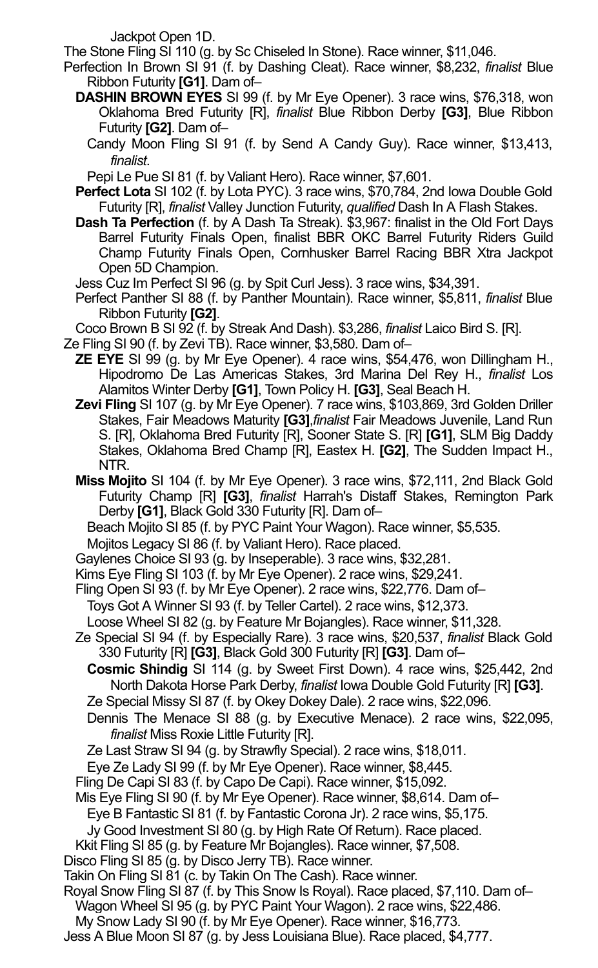Jackpot Open 1D.

The Stone Fling SI 110 (g. by Sc Chiseled In Stone). Race winner, \$11,046.

- Perfection In Brown SI 91 (f. by Dashing Cleat). Race winner, \$8,232, *finalist* Blue Ribbon Futurity **[G1]**. Dam of–
	- **DASHIN BROWN EYES** SI 99 (f. by Mr Eye Opener). 3 race wins, \$76,318, won Oklahoma Bred Futurity [R], *finalist* Blue Ribbon Derby **[G3]**, Blue Ribbon Futurity **[G2]**. Dam of–
		- Candy Moon Fling SI 91 (f. by Send A Candy Guy). Race winner, \$13,413, *finalist*.

Pepi Le Pue SI 81 (f. by Valiant Hero). Race winner, \$7,601.

- **Perfect Lota** SI 102 (f. by Lota PYC). 3 race wins, \$70,784, 2nd Iowa Double Gold Futurity [R], *finalist* Valley Junction Futurity, *qualified* Dash In A Flash Stakes.
- **Dash Ta Perfection** (f. by A Dash Ta Streak). \$3,967: finalist in the Old Fort Days Barrel Futurity Finals Open, finalist BBR OKC Barrel Futurity Riders Guild Champ Futurity Finals Open, Cornhusker Barrel Racing BBR Xtra Jackpot Open 5D Champion.
- Jess Cuz Im Perfect SI 96 (g. by Spit Curl Jess). 3 race wins, \$34,391.
- Perfect Panther SI 88 (f. by Panther Mountain). Race winner, \$5,811, *finalist* Blue Ribbon Futurity **[G2]**.

Coco Brown B SI 92 (f. by Streak And Dash). \$3,286, *finalist* Laico Bird S. [R].

- Ze Fling SI 90 (f. by Zevi TB). Race winner, \$3,580. Dam of–
- **ZE EYE** SI 99 (g. by Mr Eye Opener). 4 race wins, \$54,476, won Dillingham H., Hipodromo De Las Americas Stakes, 3rd Marina Del Rey H., *finalist* Los Alamitos Winter Derby **[G1]**, Town Policy H. **[G3]**, Seal Beach H.
- **Zevi Fling** SI 107 (g. by Mr Eye Opener). 7 race wins, \$103,869, 3rd Golden Driller Stakes, Fair Meadows Maturity **[G3]**,*finalist* Fair Meadows Juvenile, Land Run S. [R], Oklahoma Bred Futurity [R], Sooner State S. [R] **[G1]**, SLM Big Daddy Stakes, Oklahoma Bred Champ [R], Eastex H. **[G2]**, The Sudden Impact H., NTR.
- **Miss Mojito** SI 104 (f. by Mr Eye Opener). 3 race wins, \$72,111, 2nd Black Gold Futurity Champ [R] **[G3]**, *finalist* Harrah's Distaff Stakes, Remington Park Derby **[G1]**, Black Gold 330 Futurity [R]. Dam of–

Beach Mojito SI 85 (f. by PYC Paint Your Wagon). Race winner, \$5,535.

Mojitos Legacy SI 86 (f. by Valiant Hero). Race placed.

Gaylenes Choice SI 93 (g. by Inseperable). 3 race wins, \$32,281.

Kims Eye Fling SI 103 (f. by Mr Eye Opener). 2 race wins, \$29,241.

Fling Open SI 93 (f. by Mr Eye Opener). 2 race wins, \$22,776. Dam of–

Toys Got A Winner SI 93 (f. by Teller Cartel). 2 race wins, \$12,373.

Loose Wheel SI 82 (g. by Feature Mr Bojangles). Race winner, \$11,328.

Ze Special SI 94 (f. by Especially Rare). 3 race wins, \$20,537, *finalist* Black Gold 330 Futurity [R] **[G3]**, Black Gold 300 Futurity [R] **[G3]**. Dam of–

- **Cosmic Shindig** SI 114 (g. by Sweet First Down). 4 race wins, \$25,442, 2nd North Dakota Horse Park Derby, *finalist* Iowa Double Gold Futurity [R] **[G3]**.
- Ze Special Missy SI 87 (f. by Okey Dokey Dale). 2 race wins, \$22,096.
- Dennis The Menace SI 88 (g. by Executive Menace). 2 race wins, \$22,095, *finalist* Miss Roxie Little Futurity [R].
- Ze Last Straw SI 94 (g. by Strawfly Special). 2 race wins, \$18,011.
- Eye Ze Lady SI 99 (f. by Mr Eye Opener). Race winner, \$8,445.
- Fling De Capi SI 83 (f. by Capo De Capi). Race winner, \$15,092.
- Mis Eye Fling SI 90 (f. by Mr Eye Opener). Race winner, \$8,614. Dam of–
- Eye B Fantastic SI 81 (f. by Fantastic Corona Jr). 2 race wins, \$5,175.
- Jy Good Investment SI 80 (g. by High Rate Of Return). Race placed.
- Kkit Fling SI 85 (g. by Feature Mr Bojangles). Race winner, \$7,508.
- Disco Fling SI 85 (g. by Disco Jerry TB). Race winner.
- Takin On Fling SI 81 (c. by Takin On The Cash). Race winner.
- Royal Snow Fling SI 87 (f. by This Snow Is Royal). Race placed, \$7,110. Dam of–
	- Wagon Wheel SI 95 (g. by PYC Paint Your Wagon). 2 race wins, \$22,486.
- My Snow Lady SI 90 (f. by Mr Eye Opener). Race winner, \$16,773.
- Jess A Blue Moon SI 87 (g. by Jess Louisiana Blue). Race placed, \$4,777.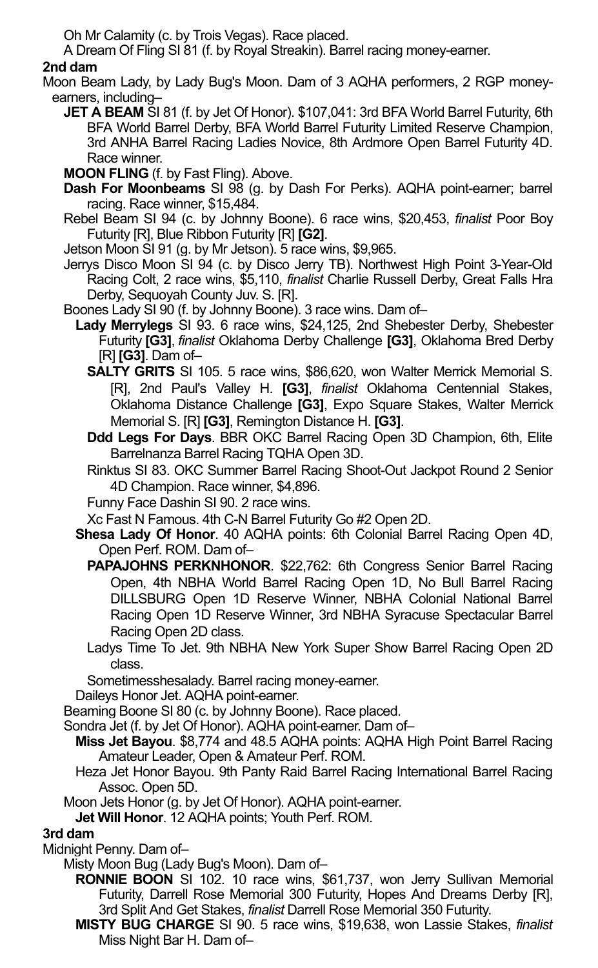Oh Mr Calamity (c. by Trois Vegas). Race placed.

A Dream Of Fling SI 81 (f. by Royal Streakin). Barrel racing money-earner.

## **2nd dam**

Moon Beam Lady, by Lady Bug's Moon. Dam of 3 AQHA performers, 2 RGP moneyearners, including–

**JET A BEAM** SI 81 (f. by Jet Of Honor). \$107,041: 3rd BFA World Barrel Futurity, 6th BFA World Barrel Derby, BFA World Barrel Futurity Limited Reserve Champion, 3rd ANHA Barrel Racing Ladies Novice, 8th Ardmore Open Barrel Futurity 4D. Race winner.

**MOON FLING** (f. by Fast Fling). Above.

- **Dash For Moonbeams** SI 98 (g. by Dash For Perks). AQHA point-earner; barrel racing. Race winner, \$15,484.
- Rebel Beam SI 94 (c. by Johnny Boone). 6 race wins, \$20,453, *finalist* Poor Boy Futurity [R], Blue Ribbon Futurity [R] **[G2]**.

Jetson Moon SI 91 (g. by Mr Jetson). 5 race wins, \$9,965.

- Jerrys Disco Moon SI 94 (c. by Disco Jerry TB). Northwest High Point 3-Year-Old Racing Colt, 2 race wins, \$5,110, *finalist* Charlie Russell Derby, Great Falls Hra Derby, Sequoyah County Juv. S. [R].
- Boones Lady SI 90 (f. by Johnny Boone). 3 race wins. Dam of–
	- **Lady Merrylegs** SI 93. 6 race wins, \$24,125, 2nd Shebester Derby, Shebester Futurity **[G3]**, *finalist* Oklahoma Derby Challenge **[G3]**, Oklahoma Bred Derby [R] **[G3]**. Dam of–
		- **SALTY GRITS** SI 105. 5 race wins, \$86,620, won Walter Merrick Memorial S. [R], 2nd Paul's Valley H. **[G3]**, *finalist* Oklahoma Centennial Stakes, Oklahoma Distance Challenge **[G3]**, Expo Square Stakes, Walter Merrick Memorial S. [R] **[G3]**, Remington Distance H. **[G3]**.
		- **Ddd Legs For Days**. BBR OKC Barrel Racing Open 3D Champion, 6th, Elite Barrelnanza Barrel Racing TQHA Open 3D.
		- Rinktus SI 83. OKC Summer Barrel Racing Shoot-Out Jackpot Round 2 Senior 4D Champion. Race winner, \$4,896.

Funny Face Dashin SI 90. 2 race wins.

- Xc Fast N Famous. 4th C-N Barrel Futurity Go #2 Open 2D.
- **Shesa Lady Of Honor**. 40 AQHA points: 6th Colonial Barrel Racing Open 4D, Open Perf. ROM. Dam of–
	- **PAPAJOHNS PERKNHONOR**. \$22,762: 6th Congress Senior Barrel Racing Open, 4th NBHA World Barrel Racing Open 1D, No Bull Barrel Racing DILLSBURG Open 1D Reserve Winner, NBHA Colonial National Barrel Racing Open 1D Reserve Winner, 3rd NBHA Syracuse Spectacular Barrel Racing Open 2D class.
	- Ladys Time To Jet. 9th NBHA New York Super Show Barrel Racing Open 2D class.

Sometimesshesalady. Barrel racing money-earner.

Daileys Honor Jet. AQHA point-earner.

Beaming Boone SI 80 (c. by Johnny Boone). Race placed.

Sondra Jet (f. by Jet Of Honor). AQHA point-earner. Dam of–

- **Miss Jet Bayou**. \$8,774 and 48.5 AQHA points: AQHA High Point Barrel Racing Amateur Leader, Open & Amateur Perf. ROM.
- Heza Jet Honor Bayou. 9th Panty Raid Barrel Racing International Barrel Racing Assoc. Open 5D.
- Moon Jets Honor (g. by Jet Of Honor). AQHA point-earner.

**Jet Will Honor**. 12 AQHA points; Youth Perf. ROM.

### **3rd dam**

Midnight Penny. Dam of–

Misty Moon Bug (Lady Bug's Moon). Dam of–

**RONNIE BOON** SI 102. 10 race wins, \$61,737, won Jerry Sullivan Memorial Futurity, Darrell Rose Memorial 300 Futurity, Hopes And Dreams Derby [R], 3rd Split And Get Stakes, *finalist* Darrell Rose Memorial 350 Futurity.

**MISTY BUG CHARGE** SI 90. 5 race wins, \$19,638, won Lassie Stakes, *finalist* Miss Night Bar H. Dam of–